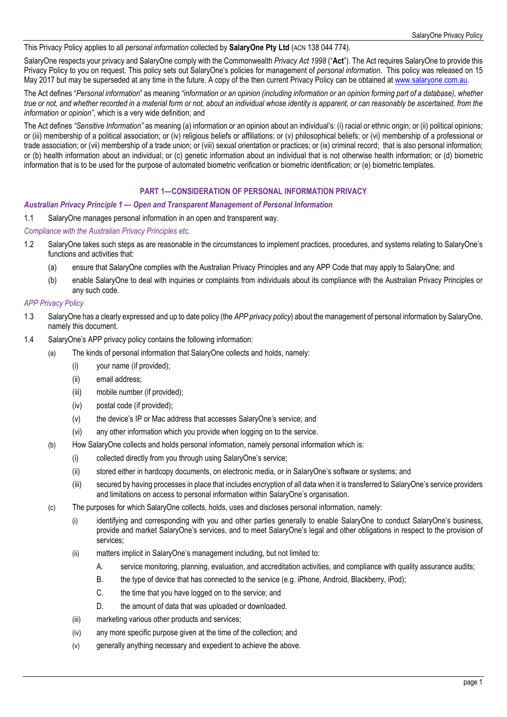### This Privacy Policy applies to all *personal information* collected by **SalaryOne Pty Ltd** (ACN 138 044 774).

SalaryOne respects your privacy and SalaryOne comply with the Commonwealth *Privacy Act 1998* ("**Act**"). The Act requires SalaryOne to provide this Privacy Policy to you on request. This policy sets out SalaryOne's policies for management of *personal information*. This policy was released on 15 May 2017 but may be superseded at any time in the future. A copy of the then current Privacy Policy can be obtained at www.salaryone.com.au.

The Act defines "*Personal information*" as meaning *"information or an opinion (including information or an opinion forming part of a database), whether true or not, and whether recorded in a material form or not, about an individual whose identity is apparent, or can reasonably be ascertained, from the information or opinion"*, which is a very wide definition; and

The Act defines *"Sensitive Information"* as meaning (a) information or an opinion about an individual's: (i) racial or ethnic origin; or (ii) political opinions; or (iii) membership of a political association; or (iv) religious beliefs or affiliations; or (v) philosophical beliefs; or (vi) membership of a professional or trade association; or (vii) membership of a trade union; or (viii) sexual orientation or practices; or (ix) criminal record; that is also personal information; or (b) health information about an individual; or (c) genetic information about an individual that is not otherwise health information; or (d) biometric information that is to be used for the purpose of automated biometric verification or biometric identification; or (e) biometric templates.

# **PART 1—CONSIDERATION OF PERSONAL INFORMATION PRIVACY**

#### *Australian Privacy Principle 1 — Open and Transparent Management of Personal Information*

1.1 SalaryOne manages personal information in an open and transparent way.

*Compliance with the Australian Privacy Principles etc.* 

- 1.2 SalaryOne takes such steps as are reasonable in the circumstances to implement practices, procedures, and systems relating to SalaryOne's functions and activities that:
	- (a) ensure that SalaryOne complies with the Australian Privacy Principles and any APP Code that may apply to SalaryOne; and
	- (b) enable SalaryOne to deal with inquiries or complaints from individuals about its compliance with the Australian Privacy Principles or any such code.

### *APP Privacy Policy*

- 1.3 SalaryOne has a clearly expressed and up to date policy (the *APP privacy policy*) about the management of personal information by SalaryOne, namely this document.
- 1.4 SalaryOne's APP privacy policy contains the following information:
	- (a) The kinds of personal information that SalaryOne collects and holds, namely:
		- (i) your name (if provided);
		- (ii) email address;
		- (iii) mobile number (if provided);
		- (iv) postal code (if provided);
		- (v) the device's IP or Mac address that accesses SalaryOne's service; and
		- (vi) any other information which you provide when logging on to the service.
	- (b) How SalaryOne collects and holds personal information, namely personal information which is:
		- (i) collected directly from you through using SalaryOne's service;
		- (ii) stored either in hardcopy documents, on electronic media, or in SalaryOne's software or systems; and
		- (iii) secured by having processes in place that includes encryption of all data when it is transferred to SalaryOne's service providers and limitations on access to personal information within SalaryOne's organisation.
	- (c) The purposes for which SalaryOne collects, holds, uses and discloses personal information, namely:
		- (i) identifying and corresponding with you and other parties generally to enable SalaryOne to conduct SalaryOne's business, provide and market SalaryOne's services, and to meet SalaryOne's legal and other obligations in respect to the provision of services;
		- (ii) matters implicit in SalaryOne's management including, but not limited to:
			- A. service monitoring, planning, evaluation, and accreditation activities, and compliance with quality assurance audits;
			- B. the type of device that has connected to the service (e.g. iPhone, Android, Blackberry, iPod);
			- C. the time that you have logged on to the service; and
			- D. the amount of data that was uploaded or downloaded.
		- (iii) marketing various other products and services;
		- (iv) any more specific purpose given at the time of the collection; and
		- (v) generally anything necessary and expedient to achieve the above.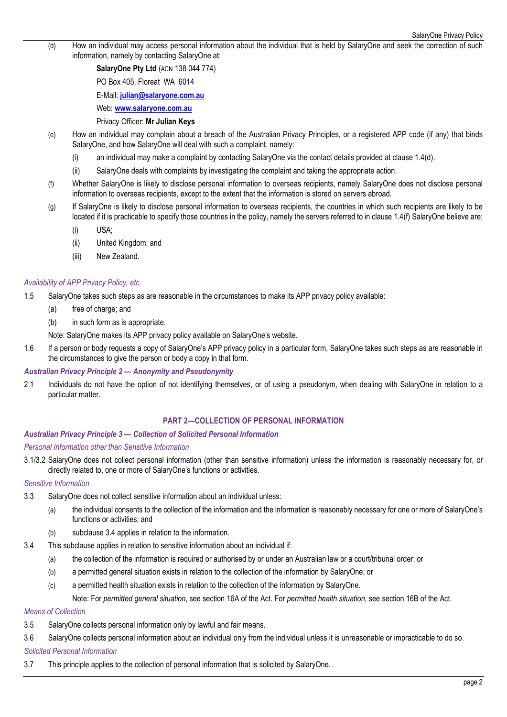(d) How an individual may access personal information about the individual that is held by SalaryOne and seek the correction of such information, namely by contacting SalaryOne at:

**SalaryOne Pty Ltd** (ACN 138 044 774)

PO Box 405, Floreat WA 6014

E-Mail: **julian@salaryone.com.au**

Web: **www.salaryone.com.au**

### Privacy Officer: **Mr Julian Keys**

- (e) How an individual may complain about a breach of the Australian Privacy Principles, or a registered APP code (if any) that binds SalaryOne, and how SalaryOne will deal with such a complaint, namely:
	- (i) an individual may make a complaint by contacting SalaryOne via the contact details provided at clause 1.4(d).
	- (ii) SalaryOne deals with complaints by investigating the complaint and taking the appropriate action.
- (f) Whether SalaryOne is likely to disclose personal information to overseas recipients, namely SalaryOne does not disclose personal information to overseas recipients, except to the extent that the information is stored on servers abroad.
- (g) If SalaryOne is likely to disclose personal information to overseas recipients, the countries in which such recipients are likely to be located if it is practicable to specify those countries in the policy, namely the servers referred to in clause 1.4(f) SalaryOne believe are:
	- (i) USA;
	- (ii) United Kingdom; and
	- (iii) New Zealand.

### *Availability of APP Privacy Policy, etc.*

1.5 SalaryOne takes such steps as are reasonable in the circumstances to make its APP privacy policy available:

- (a) free of charge; and
- (b) in such form as is appropriate.

Note: SalaryOne makes its APP privacy policy available on SalaryOne's website.

1.6 If a person or body requests a copy of SalaryOne's APP privacy policy in a particular form, SalaryOne takes such steps as are reasonable in the circumstances to give the person or body a copy in that form.

# *Australian Privacy Principle 2 — Anonymity and Pseudonymity*

2.1 Individuals do not have the option of not identifying themselves, or of using a pseudonym, when dealing with SalaryOne in relation to a particular matter.

#### **PART 2—COLLECTION OF PERSONAL INFORMATION**

### *Australian Privacy Principle 3 — Collection of Solicited Personal Information*

#### *Personal Information other than Sensitive Information*

3.1/3.2 SalaryOne does not collect personal information (other than sensitive information) unless the information is reasonably necessary for, or directly related to, one or more of SalaryOne's functions or activities.

### *Sensitive Information*

- 3.3 SalaryOne does not collect sensitive information about an individual unless:
	- (a) the individual consents to the collection of the information and the information is reasonably necessary for one or more of SalaryOne's functions or activities; and
	- (b) subclause 3.4 applies in relation to the information.
- 3.4 This subclause applies in relation to sensitive information about an individual if:
	- (a) the collection of the information is required or authorised by or under an Australian law or a court/tribunal order; or
	- (b) a permitted general situation exists in relation to the collection of the information by SalaryOne; or
	- (c) a permitted health situation exists in relation to the collection of the information by SalaryOne.

Note: For *permitted general situation*, see section 16A of the Act. For *permitted health situation*, see section 16B of the Act.

# *Means of Collection*

- 3.5 SalaryOne collects personal information only by lawful and fair means.
- 3.6 SalaryOne collects personal information about an individual only from the individual unless it is unreasonable or impracticable to do so. *Solicited Personal Information*

# 3.7 This principle applies to the collection of personal information that is solicited by SalaryOne.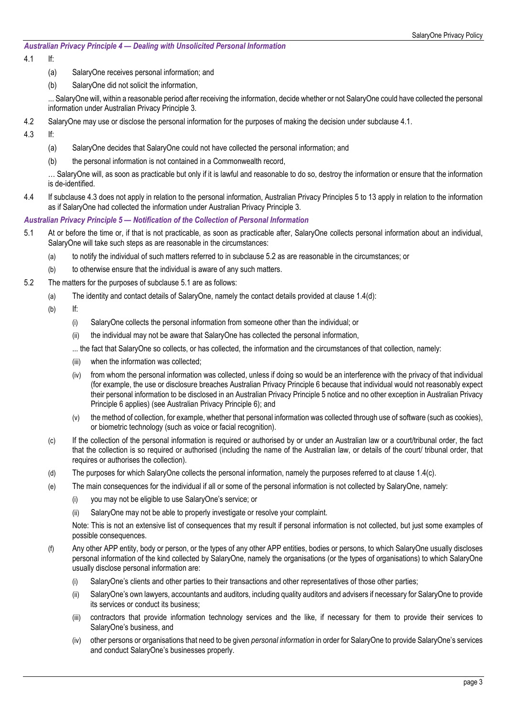### *Australian Privacy Principle 4 — Dealing with Unsolicited Personal Information*

# 4.1 If:

- (a) SalaryOne receives personal information; and
- (b) SalaryOne did not solicit the information,

... SalaryOne will, within a reasonable period after receiving the information, decide whether or not SalaryOne could have collected the personal information under Australian Privacy Principle 3.

- 4.2 SalaryOne may use or disclose the personal information for the purposes of making the decision under subclause 4.1.
- 4.3 If:
	- (a) SalaryOne decides that SalaryOne could not have collected the personal information; and
	- (b) the personal information is not contained in a Commonwealth record,

… SalaryOne will, as soon as practicable but only if it is lawful and reasonable to do so, destroy the information or ensure that the information is de-identified.

4.4 If subclause 4.3 does not apply in relation to the personal information, Australian Privacy Principles 5 to 13 apply in relation to the information as if SalaryOne had collected the information under Australian Privacy Principle 3.

# *Australian Privacy Principle 5 — Notification of the Collection of Personal Information*

- 5.1 At or before the time or, if that is not practicable, as soon as practicable after, SalaryOne collects personal information about an individual, SalaryOne will take such steps as are reasonable in the circumstances:
	- (a) to notify the individual of such matters referred to in subclause 5.2 as are reasonable in the circumstances; or
	- (b) to otherwise ensure that the individual is aware of any such matters.
- 5.2 The matters for the purposes of subclause 5.1 are as follows:
	- (a) The identity and contact details of SalaryOne, namely the contact details provided at clause 1.4(d):
	- (b) If:
		- (i) SalaryOne collects the personal information from someone other than the individual; or
		- (ii) the individual may not be aware that SalaryOne has collected the personal information,
		- ... the fact that SalaryOne so collects, or has collected, the information and the circumstances of that collection, namely:
		- (iii) when the information was collected;
		- (iv) from whom the personal information was collected, unless if doing so would be an interference with the privacy of that individual (for example, the use or disclosure breaches Australian Privacy Principle 6 because that individual would not reasonably expect their personal information to be disclosed in an Australian Privacy Principle 5 notice and no other exception in Australian Privacy Principle 6 applies) (see Australian Privacy Principle 6); and
		- (v) the method of collection, for example, whether that personal information was collected through use of software (such as cookies), or biometric technology (such as voice or facial recognition).
	- (c) If the collection of the personal information is required or authorised by or under an Australian law or a court/tribunal order, the fact that the collection is so required or authorised (including the name of the Australian law, or details of the court/ tribunal order, that requires or authorises the collection).
	- (d) The purposes for which SalaryOne collects the personal information, namely the purposes referred to at clause 1.4(c).
	- (e) The main consequences for the individual if all or some of the personal information is not collected by SalaryOne, namely:
		- (i) you may not be eligible to use SalaryOne's service; or
		- (ii) SalaryOne may not be able to properly investigate or resolve your complaint.

Note: This is not an extensive list of consequences that my result if personal information is not collected, but just some examples of possible consequences.

- (f) Any other APP entity, body or person, or the types of any other APP entities, bodies or persons, to which SalaryOne usually discloses personal information of the kind collected by SalaryOne, namely the organisations (or the types of organisations) to which SalaryOne usually disclose personal information are:
	- (i) SalaryOne's clients and other parties to their transactions and other representatives of those other parties;
	- (ii) SalaryOne's own lawyers, accountants and auditors, including quality auditors and advisers if necessary for SalaryOne to provide its services or conduct its business;
	- (iii) contractors that provide information technology services and the like, if necessary for them to provide their services to SalaryOne's business, and
	- (iv) other persons or organisations that need to be given *personal information* in order for SalaryOne to provide SalaryOne's services and conduct SalaryOne's businesses properly.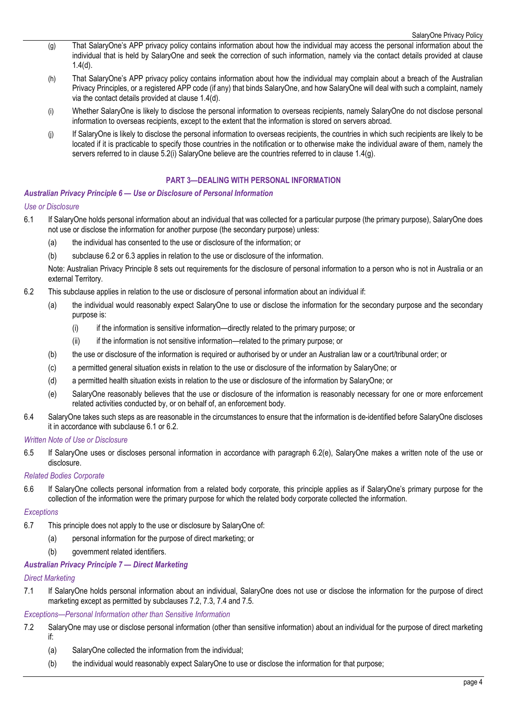- (g) That SalaryOne's APP privacy policy contains information about how the individual may access the personal information about the individual that is held by SalaryOne and seek the correction of such information, namely via the contact details provided at clause 1.4(d).
- (h) That SalaryOne's APP privacy policy contains information about how the individual may complain about a breach of the Australian Privacy Principles, or a registered APP code (if any) that binds SalaryOne, and how SalaryOne will deal with such a complaint, namely via the contact details provided at clause 1.4(d).
- (i) Whether SalaryOne is likely to disclose the personal information to overseas recipients, namely SalaryOne do not disclose personal information to overseas recipients, except to the extent that the information is stored on servers abroad.
- (j) If SalaryOne is likely to disclose the personal information to overseas recipients, the countries in which such recipients are likely to be located if it is practicable to specify those countries in the notification or to otherwise make the individual aware of them, namely the servers referred to in clause 5.2(i) SalaryOne believe are the countries referred to in clause 1.4(g).

### **PART 3—DEALING WITH PERSONAL INFORMATION**

#### *Australian Privacy Principle 6 — Use or Disclosure of Personal Information*

#### *Use or Disclosure*

- 6.1 If SalaryOne holds personal information about an individual that was collected for a particular purpose (the primary purpose), SalaryOne does not use or disclose the information for another purpose (the secondary purpose) unless:
	- (a) the individual has consented to the use or disclosure of the information; or
	- (b) subclause 6.2 or 6.3 applies in relation to the use or disclosure of the information.

Note: Australian Privacy Principle 8 sets out requirements for the disclosure of personal information to a person who is not in Australia or an external Territory.

- 6.2 This subclause applies in relation to the use or disclosure of personal information about an individual if:
	- (a) the individual would reasonably expect SalaryOne to use or disclose the information for the secondary purpose and the secondary purpose is:
		- (i) if the information is sensitive information—directly related to the primary purpose; or
		- (ii) if the information is not sensitive information—related to the primary purpose; or
	- (b) the use or disclosure of the information is required or authorised by or under an Australian law or a court/tribunal order; or
	- (c) a permitted general situation exists in relation to the use or disclosure of the information by SalaryOne; or
	- (d) a permitted health situation exists in relation to the use or disclosure of the information by SalaryOne; or
	- (e) SalaryOne reasonably believes that the use or disclosure of the information is reasonably necessary for one or more enforcement related activities conducted by, or on behalf of, an enforcement body.
- 6.4 SalaryOne takes such steps as are reasonable in the circumstances to ensure that the information is de-identified before SalaryOne discloses it in accordance with subclause 6.1 or 6.2.

#### *Written Note of Use or Disclosure*

6.5 If SalaryOne uses or discloses personal information in accordance with paragraph 6.2(e), SalaryOne makes a written note of the use or disclosure.

#### *Related Bodies Corporate*

6.6 If SalaryOne collects personal information from a related body corporate, this principle applies as if SalaryOne's primary purpose for the collection of the information were the primary purpose for which the related body corporate collected the information.

#### *Exceptions*

- 6.7 This principle does not apply to the use or disclosure by SalaryOne of:
	- (a) personal information for the purpose of direct marketing; or
	- (b) government related identifiers.

#### *Australian Privacy Principle 7 — Direct Marketing*

#### *Direct Marketing*

7.1 If SalaryOne holds personal information about an individual, SalaryOne does not use or disclose the information for the purpose of direct marketing except as permitted by subclauses 7.2, 7.3, 7.4 and 7.5.

#### *Exceptions—Personal Information other than Sensitive Information*

- 7.2 SalaryOne may use or disclose personal information (other than sensitive information) about an individual for the purpose of direct marketing if:
	- (a) SalaryOne collected the information from the individual;
	- (b) the individual would reasonably expect SalaryOne to use or disclose the information for that purpose;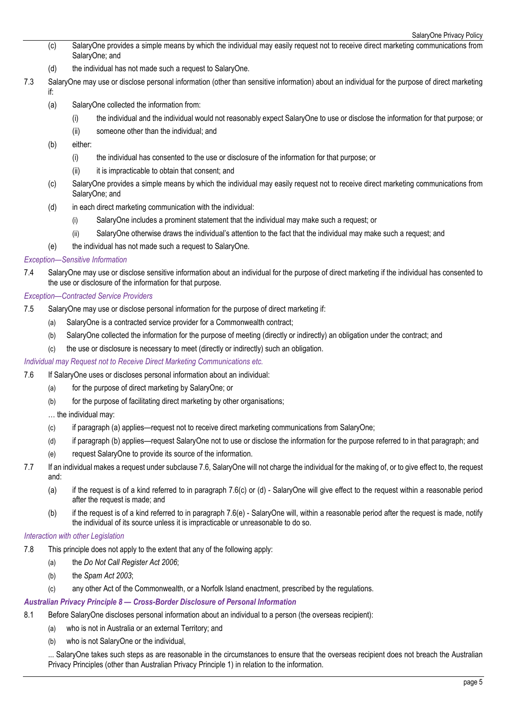- (c) SalaryOne provides a simple means by which the individual may easily request not to receive direct marketing communications from SalaryOne; and
- (d) the individual has not made such a request to SalaryOne.
- 7.3 SalaryOne may use or disclose personal information (other than sensitive information) about an individual for the purpose of direct marketing if:
	- (a) SalaryOne collected the information from:
		- (i) the individual and the individual would not reasonably expect SalaryOne to use or disclose the information for that purpose; or
		- (ii) someone other than the individual; and
	- (b) either:
		- (i) the individual has consented to the use or disclosure of the information for that purpose; or
		- (ii) it is impracticable to obtain that consent; and
	- (c) SalaryOne provides a simple means by which the individual may easily request not to receive direct marketing communications from SalaryOne; and
	- (d) in each direct marketing communication with the individual:
		- (i) SalaryOne includes a prominent statement that the individual may make such a request; or
		- (ii) SalaryOne otherwise draws the individual's attention to the fact that the individual may make such a request; and
	- (e) the individual has not made such a request to SalaryOne.

#### *Exception—Sensitive Information*

7.4 SalaryOne may use or disclose sensitive information about an individual for the purpose of direct marketing if the individual has consented to the use or disclosure of the information for that purpose.

### *Exception—Contracted Service Providers*

- 7.5 SalaryOne may use or disclose personal information for the purpose of direct marketing if:
	- (a) SalaryOne is a contracted service provider for a Commonwealth contract;
	- (b) SalaryOne collected the information for the purpose of meeting (directly or indirectly) an obligation under the contract; and
	- (c) the use or disclosure is necessary to meet (directly or indirectly) such an obligation.

### *Individual may Request not to Receive Direct Marketing Communications etc.*

- 7.6 If SalaryOne uses or discloses personal information about an individual:
	- (a) for the purpose of direct marketing by SalaryOne; or
	- (b) for the purpose of facilitating direct marketing by other organisations;

#### … the individual may:

- (c) if paragraph (a) applies—request not to receive direct marketing communications from SalaryOne;
- (d) if paragraph (b) applies—request SalaryOne not to use or disclose the information for the purpose referred to in that paragraph; and
- (e) request SalaryOne to provide its source of the information.
- 7.7 If an individual makes a request under subclause 7.6, SalaryOne will not charge the individual for the making of, or to give effect to, the request and:
	- (a) if the request is of a kind referred to in paragraph 7.6(c) or (d) SalaryOne will give effect to the request within a reasonable period after the request is made; and
	- (b) if the request is of a kind referred to in paragraph 7.6(e) SalaryOne will, within a reasonable period after the request is made, notify the individual of its source unless it is impracticable or unreasonable to do so.

#### *Interaction with other Legislation*

- 7.8 This principle does not apply to the extent that any of the following apply:
	- (a) the *Do Not Call Register Act 2006*;
	- (b) the *Spam Act 2003*;
	- (c) any other Act of the Commonwealth, or a Norfolk Island enactment, prescribed by the regulations.

#### *Australian Privacy Principle 8 — Cross-Border Disclosure of Personal Information*

- 8.1 Before SalaryOne discloses personal information about an individual to a person (the overseas recipient):
	- (a) who is not in Australia or an external Territory; and
	- (b) who is not SalaryOne or the individual,

... SalaryOne takes such steps as are reasonable in the circumstances to ensure that the overseas recipient does not breach the Australian Privacy Principles (other than Australian Privacy Principle 1) in relation to the information.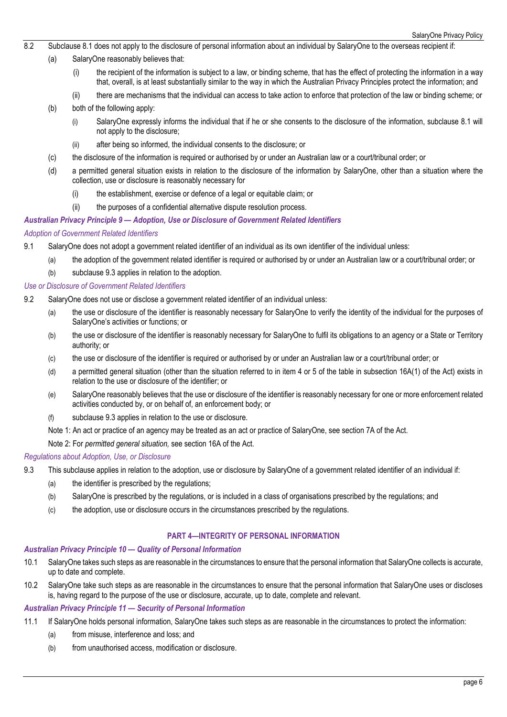- 8.2 Subclause 8.1 does not apply to the disclosure of personal information about an individual by SalaryOne to the overseas recipient if:
	- (a) SalaryOne reasonably believes that:
		- (i) the recipient of the information is subject to a law, or binding scheme, that has the effect of protecting the information in a way that, overall, is at least substantially similar to the way in which the Australian Privacy Principles protect the information; and
		- (ii) there are mechanisms that the individual can access to take action to enforce that protection of the law or binding scheme; or
	- (b) both of the following apply:
		- (i) SalaryOne expressly informs the individual that if he or she consents to the disclosure of the information, subclause 8.1 will not apply to the disclosure;
		- (ii) after being so informed, the individual consents to the disclosure; or
	- (c) the disclosure of the information is required or authorised by or under an Australian law or a court/tribunal order; or
	- (d) a permitted general situation exists in relation to the disclosure of the information by SalaryOne, other than a situation where the collection, use or disclosure is reasonably necessary for
		- (i) the establishment, exercise or defence of a legal or equitable claim; or
		- (ii) the purposes of a confidential alternative dispute resolution process.

#### *Australian Privacy Principle 9 — Adoption, Use or Disclosure of Government Related Identifiers*

#### *Adoption of Government Related Identifiers*

- 9.1 SalaryOne does not adopt a government related identifier of an individual as its own identifier of the individual unless:
	- (a) the adoption of the government related identifier is required or authorised by or under an Australian law or a court/tribunal order; or
	- (b) subclause 9.3 applies in relation to the adoption.

#### *Use or Disclosure of Government Related Identifiers*

- 9.2 SalaryOne does not use or disclose a government related identifier of an individual unless:
	- (a) the use or disclosure of the identifier is reasonably necessary for SalaryOne to verify the identity of the individual for the purposes of SalaryOne's activities or functions; or
	- (b) the use or disclosure of the identifier is reasonably necessary for SalaryOne to fulfil its obligations to an agency or a State or Territory authority; or
	- (c) the use or disclosure of the identifier is required or authorised by or under an Australian law or a court/tribunal order; or
	- (d) a permitted general situation (other than the situation referred to in item 4 or 5 of the table in subsection 16A(1) of the Act) exists in relation to the use or disclosure of the identifier; or
	- (e) SalaryOne reasonably believes that the use or disclosure of the identifier is reasonably necessary for one or more enforcement related activities conducted by, or on behalf of, an enforcement body; or
	- (f) subclause 9.3 applies in relation to the use or disclosure.
	- Note 1: An act or practice of an agency may be treated as an act or practice of SalaryOne, see section 7A of the Act.

Note 2: For *permitted general situation,* see section 16A of the Act.

#### *Regulations about Adoption, Use, or Disclosure*

- 9.3 This subclause applies in relation to the adoption, use or disclosure by SalaryOne of a government related identifier of an individual if:
	- (a) the identifier is prescribed by the regulations;
	- (b) SalaryOne is prescribed by the regulations, or is included in a class of organisations prescribed by the regulations; and
	- (c) the adoption, use or disclosure occurs in the circumstances prescribed by the regulations.

### **PART 4—INTEGRITY OF PERSONAL INFORMATION**

#### *Australian Privacy Principle 10 — Quality of Personal Information*

- 10.1 SalaryOne takes such steps as are reasonable in the circumstances to ensure that the personal information that SalaryOne collects is accurate, up to date and complete.
- 10.2 SalaryOne take such steps as are reasonable in the circumstances to ensure that the personal information that SalaryOne uses or discloses is, having regard to the purpose of the use or disclosure, accurate, up to date, complete and relevant.

#### *Australian Privacy Principle 11 — Security of Personal Information*

- 11.1 If SalaryOne holds personal information, SalaryOne takes such steps as are reasonable in the circumstances to protect the information:
	- (a) from misuse, interference and loss; and
	- (b) from unauthorised access, modification or disclosure.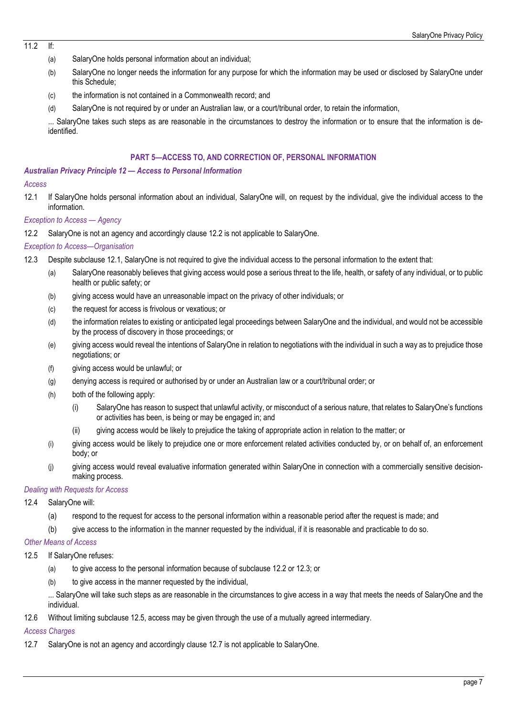$11.2$  If

- (a) SalaryOne holds personal information about an individual;
- (b) SalaryOne no longer needs the information for any purpose for which the information may be used or disclosed by SalaryOne under this Schedule;
- (c) the information is not contained in a Commonwealth record; and
- (d) SalaryOne is not required by or under an Australian law, or a court/tribunal order, to retain the information,

... SalaryOne takes such steps as are reasonable in the circumstances to destroy the information or to ensure that the information is deidentified.

### **PART 5—ACCESS TO, AND CORRECTION OF, PERSONAL INFORMATION**

#### *Australian Privacy Principle 12 — Access to Personal Information*

#### *Access*

12.1 If SalaryOne holds personal information about an individual, SalaryOne will, on request by the individual, give the individual access to the information.

# *Exception to Access — Agency*

12.2 SalaryOne is not an agency and accordingly clause 12.2 is not applicable to SalaryOne.

### *Exception to Access—Organisation*

- 12.3 Despite subclause 12.1, SalaryOne is not required to give the individual access to the personal information to the extent that:
	- (a) SalaryOne reasonably believes that giving access would pose a serious threat to the life, health, or safety of any individual, or to public health or public safety; or
	- (b) giving access would have an unreasonable impact on the privacy of other individuals; or
	- (c) the request for access is frivolous or vexatious; or
	- (d) the information relates to existing or anticipated legal proceedings between SalaryOne and the individual, and would not be accessible by the process of discovery in those proceedings; or
	- (e) giving access would reveal the intentions of SalaryOne in relation to negotiations with the individual in such a way as to prejudice those negotiations; or
	- (f) giving access would be unlawful; or
	- (g) denying access is required or authorised by or under an Australian law or a court/tribunal order; or
	- (h) both of the following apply:
		- (i) SalaryOne has reason to suspect that unlawful activity, or misconduct of a serious nature, that relates to SalaryOne's functions or activities has been, is being or may be engaged in; and
		- (ii) giving access would be likely to prejudice the taking of appropriate action in relation to the matter; or
	- (i) giving access would be likely to prejudice one or more enforcement related activities conducted by, or on behalf of, an enforcement body; or
	- (j) giving access would reveal evaluative information generated within SalaryOne in connection with a commercially sensitive decisionmaking process.

### *Dealing with Requests for Access*

- 12.4 SalaryOne will:
	- (a) respond to the request for access to the personal information within a reasonable period after the request is made; and
	- (b) give access to the information in the manner requested by the individual, if it is reasonable and practicable to do so.

#### *Other Means of Access*

- 12.5 If SalaryOne refuses:
	- (a) to give access to the personal information because of subclause 12.2 or 12.3; or
	- (b) to give access in the manner requested by the individual,

... SalaryOne will take such steps as are reasonable in the circumstances to give access in a way that meets the needs of SalaryOne and the individual.

12.6 Without limiting subclause 12.5, access may be given through the use of a mutually agreed intermediary.

# *Access Charges*

12.7 SalaryOne is not an agency and accordingly clause 12.7 is not applicable to SalaryOne.